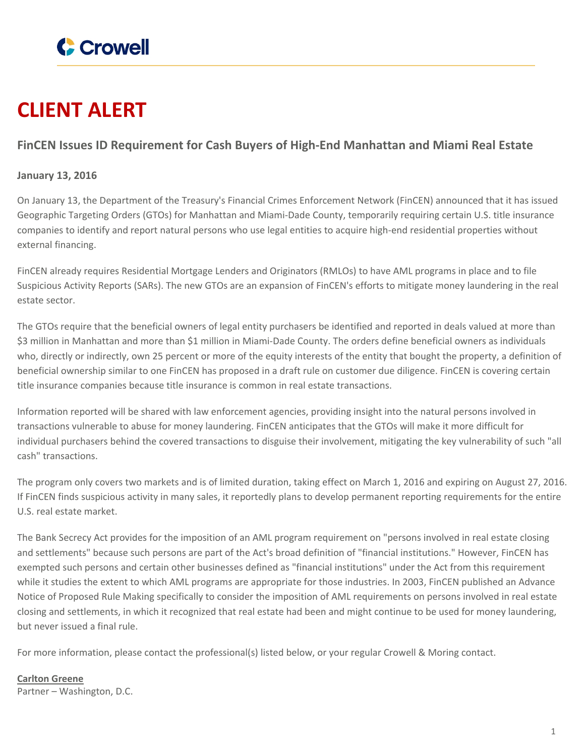

## **CLIENT ALERT**

## **FinCEN Issues ID Requirement for Cash Buyers of High-End Manhattan and Miami Real Estate**

## **January 13, 2016**

On January 13, the Department of the Treasury's Financial Crimes Enforcement Network (FinCEN) announced that it has issued Geographic Targeting Orders (GTOs) for Manhattan and Miami-Dade County, temporarily requiring certain U.S. title insurance companies to identify and report natural persons who use legal entities to acquire high-end residential properties without external financing.

FinCEN already requires Residential Mortgage Lenders and Originators (RMLOs) to have AML programs in place and to file Suspicious Activity Reports (SARs). The new GTOs are an expansion of FinCEN's efforts to mitigate money laundering in the real estate sector.

The GTOs require that the beneficial owners of legal entity purchasers be identified and reported in deals valued at more than \$3 million in Manhattan and more than \$1 million in Miami-Dade County. The orders define beneficial owners as individuals who, directly or indirectly, own 25 percent or more of the equity interests of the entity that bought the property, a definition of beneficial ownership similar to one FinCEN has proposed in a draft rule on customer due diligence. FinCEN is covering certain title insurance companies because title insurance is common in real estate transactions.

Information reported will be shared with law enforcement agencies, providing insight into the natural persons involved in transactions vulnerable to abuse for money laundering. FinCEN anticipates that the GTOs will make it more difficult for individual purchasers behind the covered transactions to disguise their involvement, mitigating the key vulnerability of such "all cash" transactions.

The program only covers two markets and is of limited duration, taking effect on March 1, 2016 and expiring on August 27, 2016. If FinCEN finds suspicious activity in many sales, it reportedly plans to develop permanent reporting requirements for the entire U.S. real estate market.

The Bank Secrecy Act provides for the imposition of an AML program requirement on "persons involved in real estate closing and settlements" because such persons are part of the Act's broad definition of "financial institutions." However, FinCEN has exempted such persons and certain other businesses defined as "financial institutions" under the Act from this requirement while it studies the extent to which AML programs are appropriate for those industries. In 2003, FinCEN published an Advance Notice of Proposed Rule Making specifically to consider the imposition of AML requirements on persons involved in real estate closing and settlements, in which it recognized that real estate had been and might continue to be used for money laundering, but never issued a final rule.

For more information, please contact the professional(s) listed below, or your regular Crowell & Moring contact.

**[Carlton](https://www.crowell.com/professionals/Carlton-Greene) Greene** Partner – Washington, D.C.